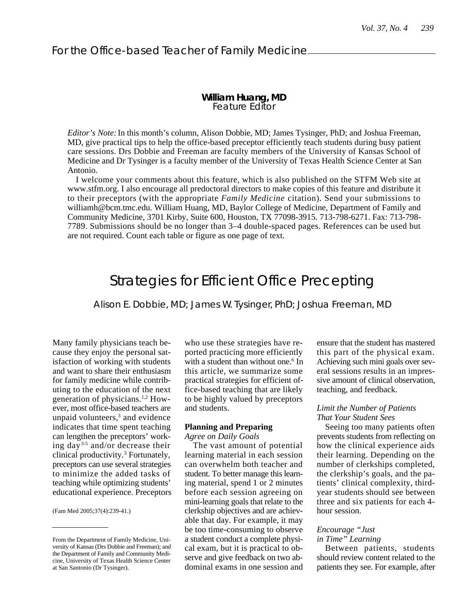## **William Huang, MD** Feature Editor

*Editor's Note:* In this month's column, Alison Dobbie, MD; James Tysinger, PhD; and Joshua Freeman, MD, give practical tips to help the office-based preceptor efficiently teach students during busy patient care sessions. Drs Dobbie and Freeman are faculty members of the University of Kansas School of Medicine and Dr Tysinger is a faculty member of the University of Texas Health Science Center at San Antonio.

I welcome your comments about this feature, which is also published on the STFM Web site at www.stfm.org. I also encourage all predoctoral directors to make copies of this feature and distribute it to their preceptors (with the appropriate *Family Medicine* citation). Send your submissions to williamh@bcm.tmc.edu. William Huang, MD, Baylor College of Medicine, Department of Family and Community Medicine, 3701 Kirby, Suite 600, Houston, TX 77098-3915. 713-798-6271. Fax: 713-798- 7789. Submissions should be no longer than 3–4 double-spaced pages. References can be used but are not required. Count each table or figure as one page of text.

# Strategies for Efficient Office Precepting

Alison E. Dobbie, MD; James W. Tysinger, PhD; Joshua Freeman, MD

Many family physicians teach because they enjoy the personal satisfaction of working with students and want to share their enthusiasm for family medicine while contributing to the education of the next generation of physicians.1,2 However, most office-based teachers are unpaid volunteers,<sup>3</sup> and evidence indicates that time spent teaching can lengthen the preceptors' working day3-5 and/or decrease their clinical productivity.<sup>3</sup> Fortunately, preceptors can use several strategies to minimize the added tasks of teaching while optimizing students' educational experience. Preceptors

(Fam Med 2005;37(4):239-41.)

who use these strategies have reported practicing more efficiently with a student than without one.<sup>6</sup> In this article, we summarize some practical strategies for efficient office-based teaching that are likely to be highly valued by preceptors and students.

### **Planning and Preparing**

*Agree on Daily Goals*

The vast amount of potential learning material in each session can overwhelm both teacher and student. To better manage this learning material, spend 1 or 2 minutes before each session agreeing on mini-learning goals that relate to the clerkship objectives and are achievable that day. For example, it may be too time-consuming to observe a student conduct a complete physical exam, but it is practical to observe and give feedback on two abdominal exams in one session and ensure that the student has mastered this part of the physical exam. Achieving such mini goals over several sessions results in an impressive amount of clinical observation, teaching, and feedback.

### *Limit the Number of Patients That Your Student Sees*

Seeing too many patients often prevents students from reflecting on how the clinical experience aids their learning. Depending on the number of clerkships completed, the clerkship's goals, and the patients' clinical complexity, thirdyear students should see between three and six patients for each 4 hour session.

## *Encourage "Just in Time" Learning*

Between patients, students should review content related to the patients they see. For example, after

From the Department of Family Medicine, University of Kansas (Drs Dobbie and Freeman); and the Department of Family and Community Medicine, University of Texas Health Science Center at San Santonio (Dr Tysinger).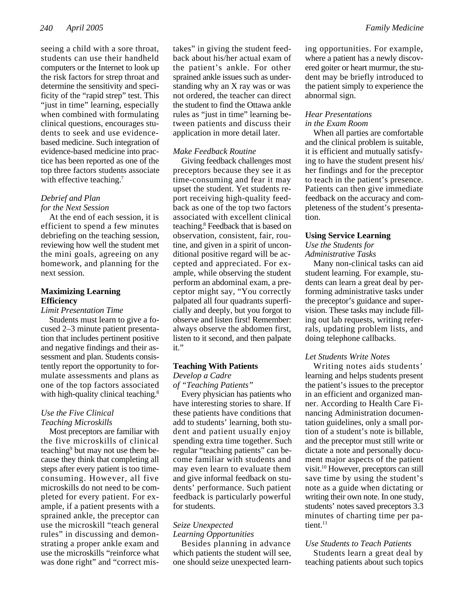seeing a child with a sore throat, students can use their handheld computers or the Internet to look up the risk factors for strep throat and determine the sensitivity and specificity of the "rapid strep" test. This "just in time" learning, especially when combined with formulating clinical questions, encourages students to seek and use evidencebased medicine. Such integration of evidence-based medicine into practice has been reported as one of the top three factors students associate with effective teaching.<sup>7</sup>

## *Debrief and Plan for the Next Session*

At the end of each session, it is efficient to spend a few minutes debriefing on the teaching session, reviewing how well the student met the mini goals, agreeing on any homework, and planning for the next session.

## **Maximizing Learning Efficiency**

*Limit Presentation Time*

Students must learn to give a focused 2–3 minute patient presentation that includes pertinent positive and negative findings and their assessment and plan. Students consistently report the opportunity to formulate assessments and plans as one of the top factors associated with high-quality clinical teaching.<sup>8</sup>

#### *Use the Five Clinical Teaching Microskills*

Most preceptors are familiar with the five microskills of clinical teaching<sup>9</sup> but may not use them because they think that completing all steps after every patient is too timeconsuming. However, all five microskills do not need to be completed for every patient. For example, if a patient presents with a sprained ankle, the preceptor can use the microskill "teach general rules" in discussing and demonstrating a proper ankle exam and use the microskills "reinforce what was done right" and "correct mistakes" in giving the student feedback about his/her actual exam of the patient's ankle. For other sprained ankle issues such as understanding why an X ray was or was not ordered, the teacher can direct the student to find the Ottawa ankle rules as "just in time" learning between patients and discuss their application in more detail later.

### *Make Feedback Routine*

Giving feedback challenges most preceptors because they see it as time-consuming and fear it may upset the student. Yet students report receiving high-quality feedback as one of the top two factors associated with excellent clinical teaching.<sup>8</sup> Feedback that is based on observation, consistent, fair, routine, and given in a spirit of unconditional positive regard will be accepted and appreciated. For example, while observing the student perform an abdominal exam, a preceptor might say, "You correctly palpated all four quadrants superficially and deeply, but you forgot to observe and listen first! Remember: always observe the abdomen first, listen to it second, and then palpate it."

#### **Teaching With Patients**

*Develop a Cadre of "Teaching Patients"*

Every physician has patients who have interesting stories to share. If these patients have conditions that add to students' learning, both student and patient usually enjoy spending extra time together. Such regular "teaching patients" can become familiar with students and may even learn to evaluate them and give informal feedback on students' performance. Such patient feedback is particularly powerful for students.

## *Seize Unexpected*

## *Learning Opportunities*

Besides planning in advance which patients the student will see, one should seize unexpected learning opportunities. For example, where a patient has a newly discovered goiter or heart murmur, the student may be briefly introduced to the patient simply to experience the abnormal sign.

## *Hear Presentations in the Exam Room*

When all parties are comfortable and the clinical problem is suitable, it is efficient and mutually satisfying to have the student present his/ her findings and for the preceptor to teach in the patient's presence. Patients can then give immediate feedback on the accuracy and completeness of the student's presentation.

#### **Using Service Learning**

*Use the Students for Administrative Tasks*

Many non-clinical tasks can aid student learning. For example, students can learn a great deal by performing administrative tasks under the preceptor's guidance and supervision. These tasks may include filling out lab requests, writing referrals, updating problem lists, and doing telephone callbacks.

## *Let Students Write Notes*

Writing notes aids students' learning and helps students present the patient's issues to the preceptor in an efficient and organized manner. According to Health Care Financing Administration documentation guidelines, only a small portion of a student's note is billable, and the preceptor must still write or dictate a note and personally document major aspects of the patient visit.<sup>10</sup> However, preceptors can still save time by using the student's note as a guide when dictating or writing their own note. In one study, students' notes saved preceptors 3.3 minutes of charting time per patient. $11$ 

### *Use Students to Teach Patients*

Students learn a great deal by teaching patients about such topics